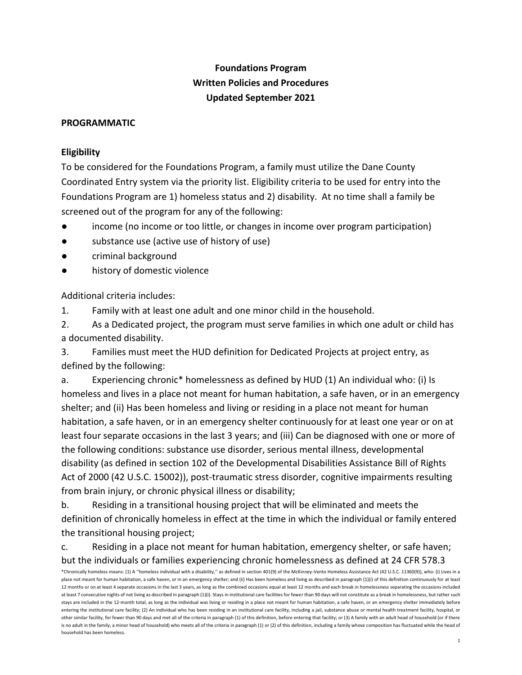# **Foundations Program Written Policies and Procedures Updated September 2021**

#### **PROGRAMMATIC**

#### **Eligibility**

To be considered for the Foundations Program, a family must utilize the Dane County Coordinated Entry system via the priority list. Eligibility criteria to be used for entry into the Foundations Program are 1) homeless status and 2) disability. At no time shall a family be screened out of the program for any of the following:

- income (no income or too little, or changes in income over program participation)
- substance use (active use of history of use)
- criminal background
- history of domestic violence

Additional criteria includes:

1. Family with at least one adult and one minor child in the household.

2. As a Dedicated project, the program must serve families in which one adult or child has a documented disability.

3. Families must meet the HUD definition for Dedicated Projects at project entry, as defined by the following:

a. Experiencing chronic\* homelessness as defined by HUD (1) An individual who: (i) Is homeless and lives in a place not meant for human habitation, a safe haven, or in an emergency shelter; and (ii) Has been homeless and living or residing in a place not meant for human habitation, a safe haven, or in an emergency shelter continuously for at least one year or on at least four separate occasions in the last 3 years; and (iii) Can be diagnosed with one or more of the following conditions: substance use disorder, serious mental illness, developmental disability (as defined in section 102 of the Developmental Disabilities Assistance Bill of Rights Act of 2000 (42 U.S.C. 15002)), post-traumatic stress disorder, cognitive impairments resulting from brain injury, or chronic physical illness or disability;

b. Residing in a transitional housing project that will be eliminated and meets the definition of chronically homeless in effect at the time in which the individual or family entered the transitional housing project;

c. Residing in a place not meant for human habitation, emergency shelter, or safe haven; but the individuals or families experiencing chronic homelessness as defined at 24 CFR 578.3

<sup>\*</sup>Chronically homeless means: (1) A ''homeless individual with a disability,'' as defined in section 401(9) of the McKinney-Vento Homeless Assistance Act (42 U.S.C. 11360(9)), who: (i) Lives in a place not meant for human habitation, a safe haven, or in an emergency shelter; and (ii) Has been homeless and living as described in paragraph (1)(i) of this definition continuously for at least 12 months or on at least 4 separate occasions in the last 3 years, as long as the combined occasions equal at least 12 months and each break in homelessness separating the occasions included at least 7 consecutive nights of not living as described in paragraph (1)(i). Stays in institutional care facilities for fewer than 90 days will not constitute as a break in homelessness, but rather such stays are included in the 12-month total, as long as the individual was living or residing in a place not meant for human habitation, a safe haven, or an emergency shelter immediately before entering the institutional care facility; (2) An individual who has been residing in an institutional care facility, including a jail, substance abuse or mental health treatment facility, hospital, or other similar facility, for fewer than 90 days and met all of the criteria in paragraph (1) of this definition, before entering that facility; or (3) A family with an adult head of household (or if there is no adult in the family, a minor head of household) who meets all of the criteria in paragraph (1) or (2) of this definition, including a family whose composition has fluctuated while the head of household has been homeless.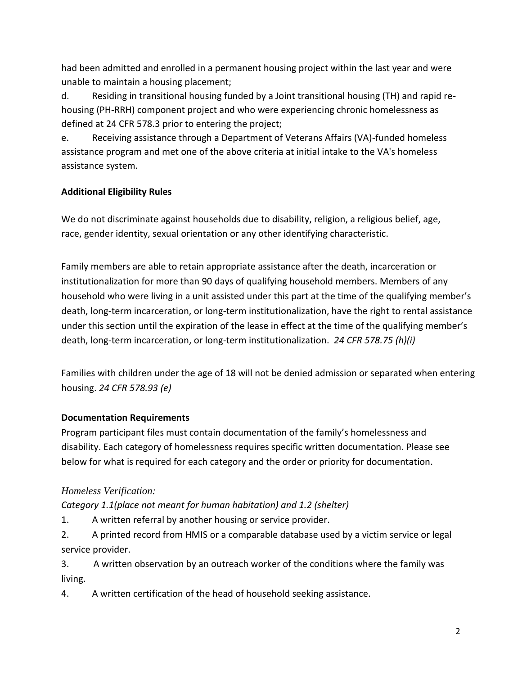had been admitted and enrolled in a permanent housing project within the last year and were unable to maintain a housing placement;

d. Residing in transitional housing funded by a Joint transitional housing (TH) and rapid rehousing (PH-RRH) component project and who were experiencing chronic homelessness as defined at 24 CFR 578.3 prior to entering the project;

e. Receiving assistance through a Department of Veterans Affairs (VA)-funded homeless assistance program and met one of the above criteria at initial intake to the VA's homeless assistance system.

### **Additional Eligibility Rules**

We do not discriminate against households due to disability, religion, a religious belief, age, race, gender identity, sexual orientation or any other identifying characteristic.

Family members are able to retain appropriate assistance after the death, incarceration or institutionalization for more than 90 days of qualifying household members. Members of any household who were living in a unit assisted under this part at the time of the qualifying member's death, long-term incarceration, or long-term institutionalization, have the right to rental assistance under this section until the expiration of the lease in effect at the time of the qualifying member's death, long-term incarceration, or long-term institutionalization. *24 CFR 578.75 (h)(i)*

Families with children under the age of 18 will not be denied admission or separated when entering housing. *24 CFR 578.93 (e)*

#### **Documentation Requirements**

Program participant files must contain documentation of the family's homelessness and disability. Each category of homelessness requires specific written documentation. Please see below for what is required for each category and the order or priority for documentation.

#### *Homeless Verification:*

*Category 1.1(place not meant for human habitation) and 1.2 (shelter)*

1. A written referral by another housing or service provider.

2. A printed record from HMIS or a comparable database used by a victim service or legal service provider.

3. A written observation by an outreach worker of the conditions where the family was living.

4. A written certification of the head of household seeking assistance.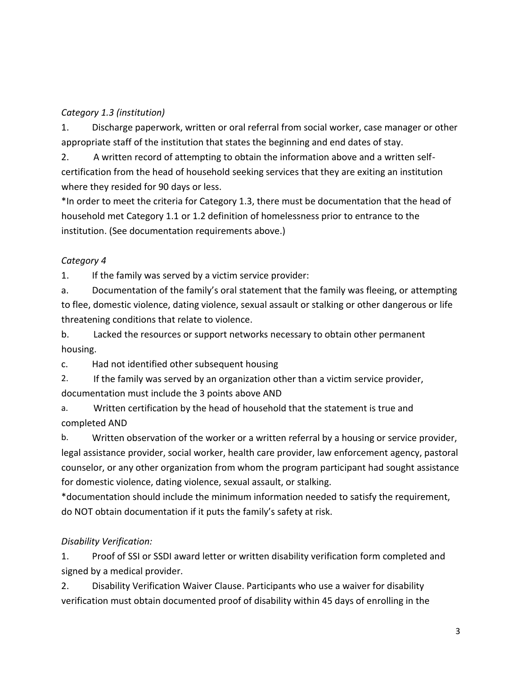### *Category 1.3 (institution)*

1. Discharge paperwork, written or oral referral from social worker, case manager or other appropriate staff of the institution that states the beginning and end dates of stay.

2. A written record of attempting to obtain the information above and a written selfcertification from the head of household seeking services that they are exiting an institution where they resided for 90 days or less.

\*In order to meet the criteria for Category 1.3, there must be documentation that the head of household met Category 1.1 or 1.2 definition of homelessness prior to entrance to the institution. (See documentation requirements above.)

## *Category 4*

1. If the family was served by a victim service provider:

a. Documentation of the family's oral statement that the family was fleeing, or attempting to flee, domestic violence, dating violence, sexual assault or stalking or other dangerous or life threatening conditions that relate to violence.

b. Lacked the resources or support networks necessary to obtain other permanent housing.

c. Had not identified other subsequent housing

2. If the family was served by an organization other than a victim service provider, documentation must include the 3 points above AND

a. Written certification by the head of household that the statement is true and completed AND

b. Written observation of the worker or a written referral by a housing or service provider, legal assistance provider, social worker, health care provider, law enforcement agency, pastoral counselor, or any other organization from whom the program participant had sought assistance for domestic violence, dating violence, sexual assault, or stalking.

\*documentation should include the minimum information needed to satisfy the requirement, do NOT obtain documentation if it puts the family's safety at risk.

## *Disability Verification:*

1. Proof of SSI or SSDI award letter or written disability verification form completed and signed by a medical provider.

2. Disability Verification Waiver Clause. Participants who use a waiver for disability verification must obtain documented proof of disability within 45 days of enrolling in the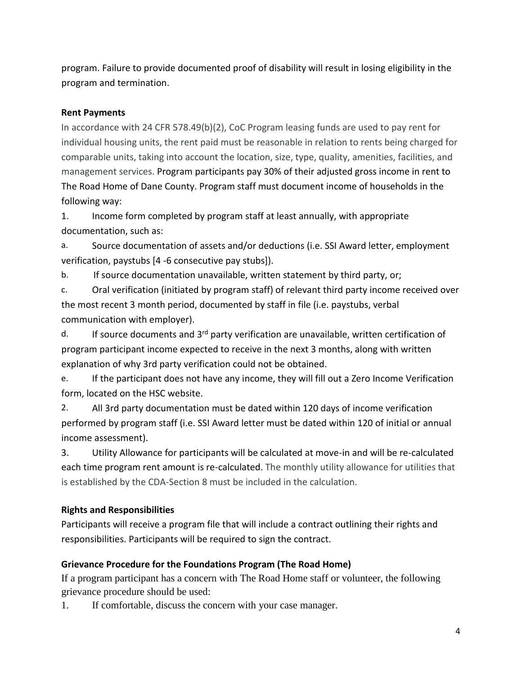program. Failure to provide documented proof of disability will result in losing eligibility in the program and termination.

### **Rent Payments**

In accordance with 24 CFR 578.49(b)(2), CoC Program leasing funds are used to pay rent for individual housing units, the rent paid must be reasonable in relation to rents being charged for comparable units, taking into account the location, size, type, quality, amenities, facilities, and management services. Program participants pay 30% of their adjusted gross income in rent to The Road Home of Dane County. Program staff must document income of households in the following way:

1. Income form completed by program staff at least annually, with appropriate documentation, such as:

a. Source documentation of assets and/or deductions (i.e. SSI Award letter, employment verification, paystubs [4 -6 consecutive pay stubs]).

b. If source documentation unavailable, written statement by third party, or;

c. Oral verification (initiated by program staff) of relevant third party income received over the most recent 3 month period, documented by staff in file (i.e. paystubs, verbal communication with employer).

d. If source documents and 3<sup>rd</sup> party verification are unavailable, written certification of program participant income expected to receive in the next 3 months, along with written explanation of why 3rd party verification could not be obtained.

e. If the participant does not have any income, they will fill out a Zero Income Verification form, located on the HSC website.

2. All 3rd party documentation must be dated within 120 days of income verification performed by program staff (i.e. SSI Award letter must be dated within 120 of initial or annual income assessment).

3. Utility Allowance for participants will be calculated at move-in and will be re-calculated each time program rent amount is re-calculated. The monthly utility allowance for utilities that is established by the CDA-Section 8 must be included in the calculation.

## **Rights and Responsibilities**

Participants will receive a program file that will include a contract outlining their rights and responsibilities. Participants will be required to sign the contract.

#### **Grievance Procedure for the Foundations Program (The Road Home)**

If a program participant has a concern with The Road Home staff or volunteer, the following grievance procedure should be used:

1. If comfortable, discuss the concern with your case manager.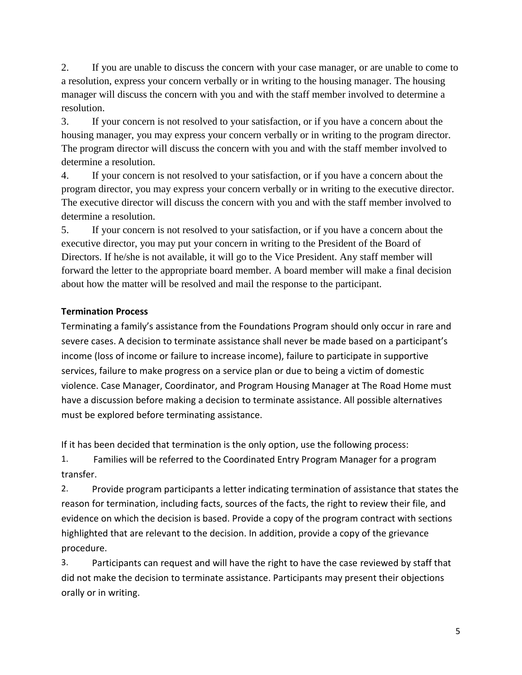2. If you are unable to discuss the concern with your case manager, or are unable to come to a resolution, express your concern verbally or in writing to the housing manager. The housing manager will discuss the concern with you and with the staff member involved to determine a resolution.

3. If your concern is not resolved to your satisfaction, or if you have a concern about the housing manager, you may express your concern verbally or in writing to the program director. The program director will discuss the concern with you and with the staff member involved to determine a resolution.

4. If your concern is not resolved to your satisfaction, or if you have a concern about the program director, you may express your concern verbally or in writing to the executive director. The executive director will discuss the concern with you and with the staff member involved to determine a resolution.

5. If your concern is not resolved to your satisfaction, or if you have a concern about the executive director, you may put your concern in writing to the President of the Board of Directors. If he/she is not available, it will go to the Vice President. Any staff member will forward the letter to the appropriate board member. A board member will make a final decision about how the matter will be resolved and mail the response to the participant.

## **Termination Process**

Terminating a family's assistance from the Foundations Program should only occur in rare and severe cases. A decision to terminate assistance shall never be made based on a participant's income (loss of income or failure to increase income), failure to participate in supportive services, failure to make progress on a service plan or due to being a victim of domestic violence. Case Manager, Coordinator, and Program Housing Manager at The Road Home must have a discussion before making a decision to terminate assistance. All possible alternatives must be explored before terminating assistance.

If it has been decided that termination is the only option, use the following process:

1. Families will be referred to the Coordinated Entry Program Manager for a program transfer.

2. Provide program participants a letter indicating termination of assistance that states the reason for termination, including facts, sources of the facts, the right to review their file, and evidence on which the decision is based. Provide a copy of the program contract with sections highlighted that are relevant to the decision. In addition, provide a copy of the grievance procedure.

3. Participants can request and will have the right to have the case reviewed by staff that did not make the decision to terminate assistance. Participants may present their objections orally or in writing.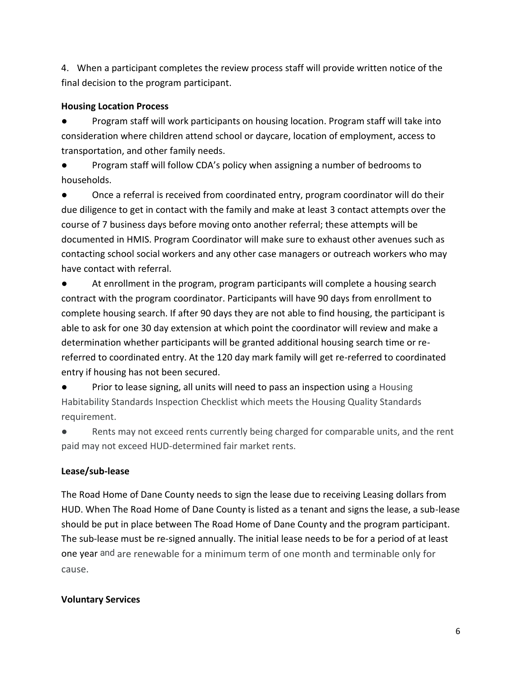4. When a participant completes the review process staff will provide written notice of the final decision to the program participant.

### **Housing Location Process**

Program staff will work participants on housing location. Program staff will take into consideration where children attend school or daycare, location of employment, access to transportation, and other family needs.

Program staff will follow CDA's policy when assigning a number of bedrooms to households.

● Once a referral is received from coordinated entry, program coordinator will do their due diligence to get in contact with the family and make at least 3 contact attempts over the course of 7 business days before moving onto another referral; these attempts will be documented in HMIS. Program Coordinator will make sure to exhaust other avenues such as contacting school social workers and any other case managers or outreach workers who may have contact with referral.

At enrollment in the program, program participants will complete a housing search contract with the program coordinator. Participants will have 90 days from enrollment to complete housing search. If after 90 days they are not able to find housing, the participant is able to ask for one 30 day extension at which point the coordinator will review and make a determination whether participants will be granted additional housing search time or rereferred to coordinated entry. At the 120 day mark family will get re-referred to coordinated entry if housing has not been secured.

Prior to lease signing, all units will need to pass an inspection using a Housing Habitability Standards Inspection Checklist which meets the Housing Quality Standards requirement.

● Rents may not exceed rents currently being charged for comparable units, and the rent paid may not exceed HUD-determined fair market rents.

## **Lease/sub-lease**

The Road Home of Dane County needs to sign the lease due to receiving Leasing dollars from HUD. When The Road Home of Dane County is listed as a tenant and signs the lease, a sub-lease should be put in place between The Road Home of Dane County and the program participant. The sub-lease must be re-signed annually. The initial lease needs to be for a period of at least one year and are renewable for a minimum term of one month and terminable only for cause.

## **Voluntary Services**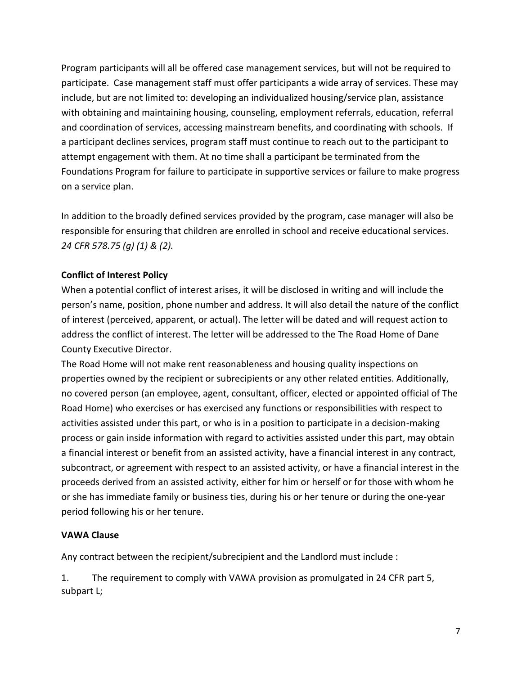Program participants will all be offered case management services, but will not be required to participate. Case management staff must offer participants a wide array of services. These may include, but are not limited to: developing an individualized housing/service plan, assistance with obtaining and maintaining housing, counseling, employment referrals, education, referral and coordination of services, accessing mainstream benefits, and coordinating with schools. If a participant declines services, program staff must continue to reach out to the participant to attempt engagement with them. At no time shall a participant be terminated from the Foundations Program for failure to participate in supportive services or failure to make progress on a service plan.

In addition to the broadly defined services provided by the program, case manager will also be responsible for ensuring that children are enrolled in school and receive educational services. *24 CFR 578.75 (g) (1) & (2).*

#### **Conflict of Interest Policy**

When a potential conflict of interest arises, it will be disclosed in writing and will include the person's name, position, phone number and address. It will also detail the nature of the conflict of interest (perceived, apparent, or actual). The letter will be dated and will request action to address the conflict of interest. The letter will be addressed to the The Road Home of Dane County Executive Director.

The Road Home will not make rent reasonableness and housing quality inspections on properties owned by the recipient or subrecipients or any other related entities. Additionally, no covered person (an employee, agent, consultant, officer, elected or appointed official of The Road Home) who exercises or has exercised any functions or responsibilities with respect to activities assisted under this part, or who is in a position to participate in a decision-making process or gain inside information with regard to activities assisted under this part, may obtain a financial interest or benefit from an assisted activity, have a financial interest in any contract, subcontract, or agreement with respect to an assisted activity, or have a financial interest in the proceeds derived from an assisted activity, either for him or herself or for those with whom he or she has immediate family or business ties, during his or her tenure or during the one-year period following his or her tenure.

#### **VAWA Clause**

Any contract between the recipient/subrecipient and the Landlord must include :

1. The requirement to comply with VAWA provision as promulgated in 24 CFR part 5, subpart L;